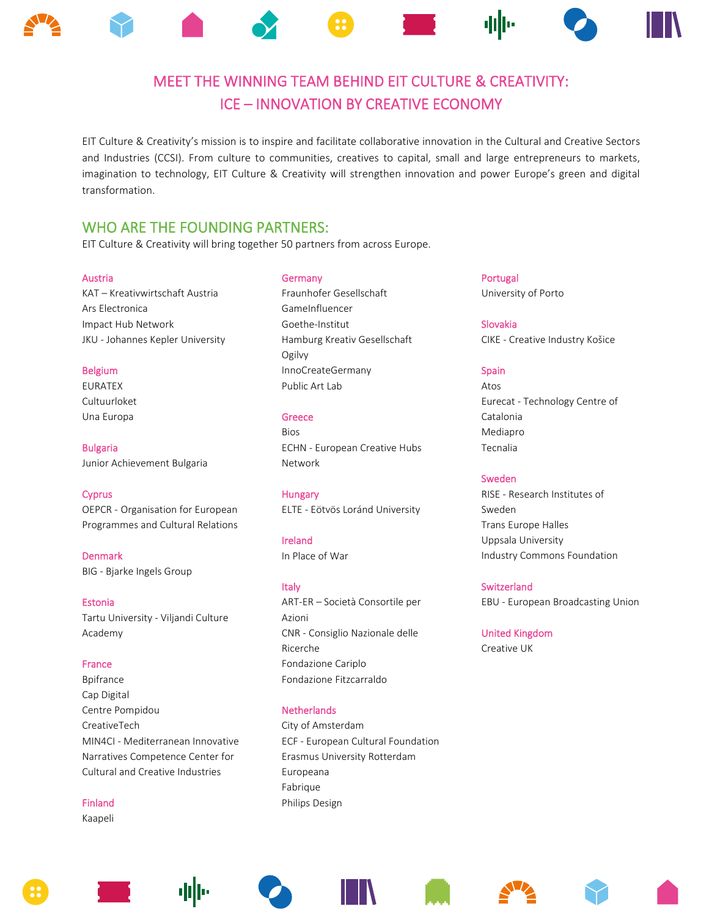

EIT Culture & Creativity's mission is to inspire and facilitate collaborative innovation in the Cultural and Creative Sectors and Industries (CCSI). From culture to communities, creatives to capital, small and large entrepreneurs to markets, imagination to technology, EIT Culture & Creativity will strengthen innovation and power Europe's green and digital transformation.

WHO ARE THE FOUNDING PARTNERS:<br>EIT Culture & Creativity will bring together 50 partners from across Europe.

## Austria

KAT – Kreativwirtschaft Austria Ars Electronica Impact Hub Network JKU - Johannes Kepler University

## Belgium

EURATEX Cultuurloket Una Europa

Bulgaria Junior Achievement Bulgaria

## **Cyprus**

OEPCR - Organisation for European Programmes and Cultural Relations

Denmark BIG - Bjarke Ingels Group

Estonia Tartu University - Viljandi Culture Academy

# France Bpifrance Cap Digital Centre Pompidou CreativeTech MIN4CI - Mediterranean Innovative Narratives Competence Center for Cultural and Creative Industries

Finland Kaapeli

#### **Germany**

Fraunhofer Gesellschaft GameInfluencer Goethe-Institut Hamburg Kreativ Gesellschaft Ogilvy InnoCreateGermany Public Art Lab

#### Greece

Bios ECHN - European Creative Hubs Network

## Hungary

ELTE - Eötvös Loránd University

Ireland In Place of War

# Italy

ART-ER – Società Consortile per Azioni CNR - Consiglio Nazionale delle Ricerche Fondazione Cariplo Fondazione Fitzcarraldo

## **Netherlands**

City of Amsterdam ECF - European Cultural Foundation Erasmus University Rotterdam Europeana Fabrique Philips Design

Portugal University of Porto

Slovakia CIKE - Creative Industry Košice

# Spain

Atos Eurecat - Technology Centre of Catalonia Mediapro Tecnalia

# Sweden

RISE - Research Institutes of Sweden Trans Europe Halles Uppsala University Industry Commons Foundation

# Switzerland

EBU - European Broadcasting Union

United Kingdom Creative UK